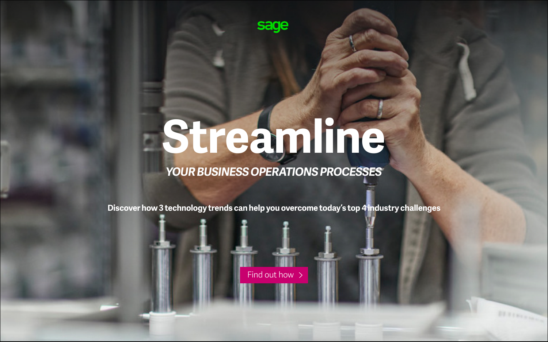**Discover how 3 technology trends can help you overcome today's top 4 industry challenges**



## *YOUR BUSINESS OPERATIONS PROCESSES*

[Find out how](#page-1-0)  $\rightarrow$ 

# **Streamline**

sage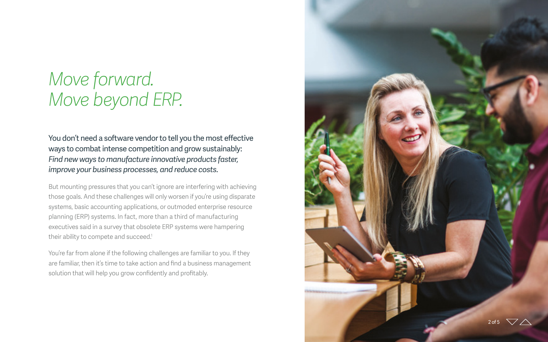You don't need a software vendor to tell you the most effective ways to combat intense competition and grow sustainably: *Find new ways to manufacture innovative products faster, improve your business processes, and reduce costs.*

But mounting pressures that you can't ignore are interfering with achieving those goals. And these challenges will only worsen if you're using disparate systems, basic accounting applications, or outmoded enterprise resource planning (ERP) systems. In fact, more than a third of manufacturing executives said in a survey that obsolete ERP systems were hampering their ability to compete and succeed. 1

You're far from alone if the following challenges are familiar to you. If they are familiar, then it's time to take action and find a business management solution that will help you grow confidently and profitably.

## <span id="page-1-0"></span>*Move forward. Move beyond ERP.*

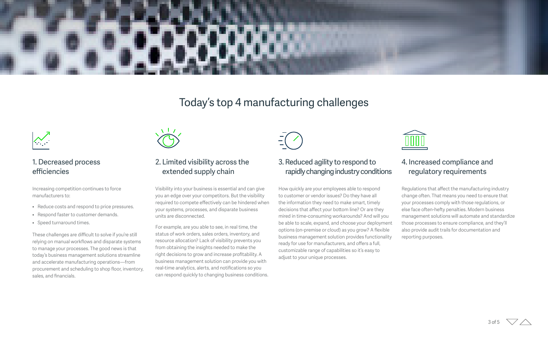#### 1. Decreased process efficiencies

Increasing competition continues to force manufacturers to:

- Reduce costs and respond to price pressures.
- Respond faster to customer demands.
- Speed turnaround times.

These challenges are difficult to solve if you're still relying on manual workflows and disparate systems to manage your processes. The good news is that today's business management solutions streamline and accelerate manufacturing operations—from procurement and scheduling to shop floor, inventory, sales, and financials.



#### 2. Limited visibility across the extended supply chain

Visibility into your business is essential and can give you an edge over your competitors. But the visibility required to compete effectively can be hindered when your systems, processes, and disparate business units are disconnected.

For example, are you able to see, in real time, the status of work orders, sales orders, inventory, and resource allocation? Lack of visibility prevents you from obtaining the insights needed to make the right decisions to grow and increase profitability. A business management solution can provide you with real-time analytics, alerts, and notifications so you can respond quickly to changing business conditions.



### Today's top 4 manufacturing challenges



#### 3. Reduced agility to respond to rapidly changing industry conditions

How quickly are your employees able to respond to customer or vendor issues? Do they have all the information they need to make smart, timely decisions that affect your bottom line? Or are they mired in time-consuming workarounds? And will you be able to scale, expand, and choose your deployment options (on-premise or cloud) as you grow? A flexible business management solution provides functionality ready for use for manufacturers, and offers a full, customizable range of capabilities so it's easy to adjust to your unique processes.



#### 4. Increased compliance and regulatory requirements

Regulations that affect the manufacturing industry change often. That means you need to ensure that your processes comply with those regulations, or else face often-hefty penalties. Modern business management solutions will automate and standardize those processes to ensure compliance, and they'll also provide audit trails for documentation and reporting purposes.

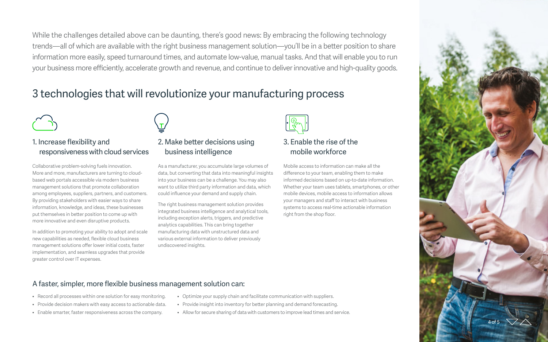While the challenges detailed above can be daunting, there's good news: By embracing the following technology trends—all of which are available with the right business management solution—you'll be in a better position to share information more easily, speed turnaround times, and automate low-value, manual tasks. And that will enable you to run your business more efficiently, accelerate growth and revenue, and continue to deliver innovative and high-quality goods.

#### A faster, simpler, more flexible business management solution can:

- Record all processes within one solution for easy monitoring.
- Provide decision makers with easy access to actionable data.
- Enable smarter, faster responsiveness across the company.
- Optimize your supply chain and facilitate communication with suppliers.
- Provide insight into inventory for better planning and demand forecasting.
- Allow for secure sharing of data with customers to improve lead times and service.

#### 3 technologies that will revolutionize your manufacturing process

#### 1. Increase flexibility and responsiveness with cloud services

Collaborative problem-solving fuels innovation. More and more, manufacturers are turning to cloudbased web portals accessible via modern business management solutions that promote collaboration among employees, suppliers, partners, and customers. By providing stakeholders with easier ways to share information, knowledge, and ideas, these businesses put themselves in better position to come up with more innovative and even disruptive products.

In addition to promoting your ability to adopt and scale new capabilities as needed, flexible cloud business management solutions offer lower initial costs, faster implementation, and seamless upgrades that provide greater control over IT expenses.

#### 2. Make better decisions using business intelligence

As a manufacturer, you accumulate large volumes of data, but converting that data into meaningful insights into your business can be a challenge. You may also want to utilize third party information and data, which could influence your demand and supply chain.

The right business management solution provides integrated business intelligence and analytical tools, including exception alerts, triggers, and predictive analytics capabilities. This can bring together manufacturing data with unstructured data and various external information to deliver previously undiscovered insights.



#### 3. Enable the rise of the mobile workforce

Mobile access to information can make all the difference to your team, enabling them to make informed decisions based on up-to-date information. Whether your team uses tablets, smartphones, or other mobile devices, mobile access to information allows your managers and staff to interact with business systems to access real-time actionable information right from the shop floor.